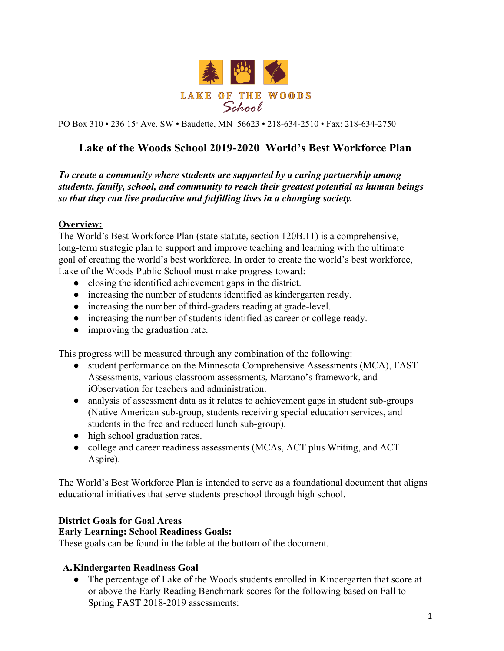

PO Box 310 • 236 15<sup>th</sup> Ave. SW • Baudette, MN 56623 • 218-634-2510 • Fax: 218-634-2750

# **Lake of the Woods School 2019-2020 World's Best Workforce Plan**

*To create a community where students are supported by a caring partnership among students, family, school, and community to reach their greatest potential as human beings so that they can live productive and fulfilling lives in a changing society.*

#### **Overview:**

The World's Best Workforce Plan (state statute, section 120B.11) is a comprehensive, long-term strategic plan to support and improve teaching and learning with the ultimate goal of creating the world's best workforce. In order to create the world's best workforce, Lake of the Woods Public School must make progress toward:

- closing the identified achievement gaps in the district.
- increasing the number of students identified as kindergarten ready.
- increasing the number of third-graders reading at grade-level.
- increasing the number of students identified as career or college ready.
- improving the graduation rate.

This progress will be measured through any combination of the following:

- student performance on the Minnesota Comprehensive Assessments (MCA), FAST Assessments, various classroom assessments, Marzano's framework, and iObservation for teachers and administration.
- analysis of assessment data as it relates to achievement gaps in student sub-groups (Native American sub-group, students receiving special education services, and students in the free and reduced lunch sub-group).
- high school graduation rates.
- college and career readiness assessments (MCAs, ACT plus Writing, and ACT Aspire).

The World's Best Workforce Plan is intended to serve as a foundational document that aligns educational initiatives that serve students preschool through high school.

#### **District Goals for Goal Areas**

#### **Early Learning: School Readiness Goals:**

These goals can be found in the table at the bottom of the document.

#### **A.Kindergarten Readiness Goal**

● The percentage of Lake of the Woods students enrolled in Kindergarten that score at or above the Early Reading Benchmark scores for the following based on Fall to Spring FAST 2018-2019 assessments: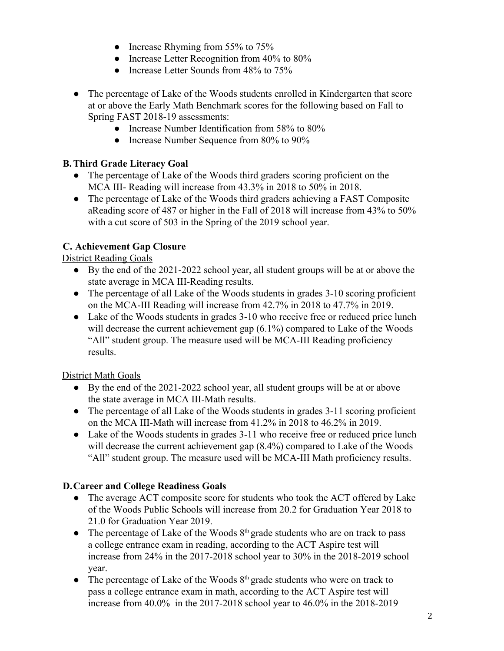- Increase Rhyming from 55% to 75%
- Increase Letter Recognition from 40% to 80%
- Increase Letter Sounds from 48% to 75%
- The percentage of Lake of the Woods students enrolled in Kindergarten that score at or above the Early Math Benchmark scores for the following based on Fall to Spring FAST 2018-19 assessments:
	- Increase Number Identification from 58% to 80%
	- Increase Number Sequence from 80% to 90%

### **B.Third Grade Literacy Goal**

- The percentage of Lake of the Woods third graders scoring proficient on the MCA III- Reading will increase from 43.3% in 2018 to 50% in 2018.
- The percentage of Lake of the Woods third graders achieving a FAST Composite aReading score of 487 or higher in the Fall of 2018 will increase from 43% to 50% with a cut score of 503 in the Spring of the 2019 school year.

# **C. Achievement Gap Closure**

District Reading Goals

- By the end of the 2021-2022 school year, all student groups will be at or above the state average in MCA III-Reading results.
- The percentage of all Lake of the Woods students in grades 3-10 scoring proficient on the MCA-III Reading will increase from 42.7% in 2018 to 47.7% in 2019.
- Lake of the Woods students in grades 3-10 who receive free or reduced price lunch will decrease the current achievement gap  $(6.1\%)$  compared to Lake of the Woods "All" student group. The measure used will be MCA-III Reading proficiency results.

#### District Math Goals

- By the end of the 2021-2022 school year, all student groups will be at or above the state average in MCA III-Math results.
- The percentage of all Lake of the Woods students in grades 3-11 scoring proficient on the MCA III-Math will increase from 41.2% in 2018 to 46.2% in 2019.
- Lake of the Woods students in grades 3-11 who receive free or reduced price lunch will decrease the current achievement gap (8.4%) compared to Lake of the Woods "All" student group. The measure used will be MCA-III Math proficiency results.

#### **D.Career and College Readiness Goals**

- The average ACT composite score for students who took the ACT offered by Lake of the Woods Public Schools will increase from 20.2 for Graduation Year 2018 to 21.0 for Graduation Year 2019.
- The percentage of Lake of the Woods  $8<sup>th</sup>$  grade students who are on track to pass a college entrance exam in reading, according to the ACT Aspire test will increase from 24% in the 2017-2018 school year to 30% in the 2018-2019 school year.
- The percentage of Lake of the Woods  $8<sup>th</sup>$  grade students who were on track to pass a college entrance exam in math, according to the ACT Aspire test will increase from 40.0% in the 2017-2018 school year to 46.0% in the 2018-2019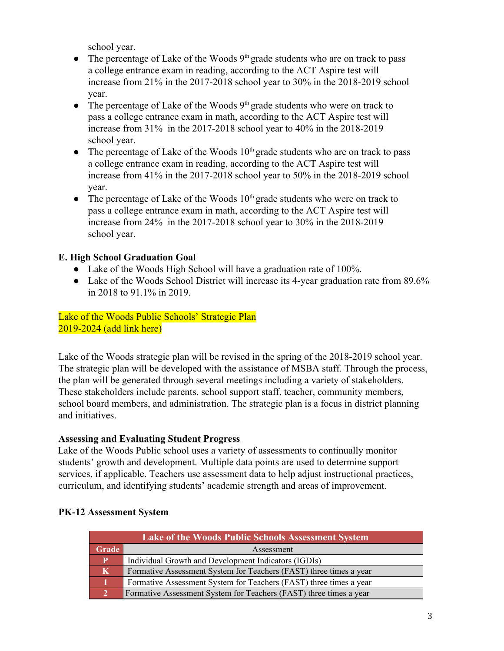school year.

- The percentage of Lake of the Woods  $9<sup>th</sup>$  grade students who are on track to pass a college entrance exam in reading, according to the ACT Aspire test will increase from 21% in the 2017-2018 school year to 30% in the 2018-2019 school year.
- The percentage of Lake of the Woods  $9<sup>th</sup>$  grade students who were on track to pass a college entrance exam in math, according to the ACT Aspire test will increase from 31% in the 2017-2018 school year to 40% in the 2018-2019 school year.
- The percentage of Lake of the Woods  $10<sup>th</sup>$  grade students who are on track to pass a college entrance exam in reading, according to the ACT Aspire test will increase from 41% in the 2017-2018 school year to 50% in the 2018-2019 school year.
- The percentage of Lake of the Woods  $10<sup>th</sup>$  grade students who were on track to pass a college entrance exam in math, according to the ACT Aspire test will increase from 24% in the 2017-2018 school year to 30% in the 2018-2019 school year.

### **E. High School Graduation Goal**

- Lake of the Woods High School will have a graduation rate of 100%.
- Lake of the Woods School District will increase its 4-year graduation rate from 89.6% in 2018 to 91.1% in 2019.

Lake of the Woods Public Schools' Strategic Plan 2019-2024 (add link here)

Lake of the Woods strategic plan will be revised in the spring of the 2018-2019 school year. The strategic plan will be developed with the assistance of MSBA staff. Through the process, the plan will be generated through several meetings including a variety of stakeholders. These stakeholders include parents, school support staff, teacher, community members, school board members, and administration. The strategic plan is a focus in district planning and initiatives.

#### **Assessing and Evaluating Student Progress**

Lake of the Woods Public school uses a variety of assessments to continually monitor students' growth and development. Multiple data points are used to determine support services, if applicable. Teachers use assessment data to help adjust instructional practices, curriculum, and identifying students' academic strength and areas of improvement.

### **Lake of the Woods Public Schools Assessment System Grade Assessment P** Individual Growth and Development Indicators (IGDIs) **K** Formative Assessment System for Teachers (FAST) three times a year **1** Formative Assessment System for Teachers (FAST) three times a year **2** Formative Assessment System for Teachers (FAST) three times a year

# **PK-12 Assessment System**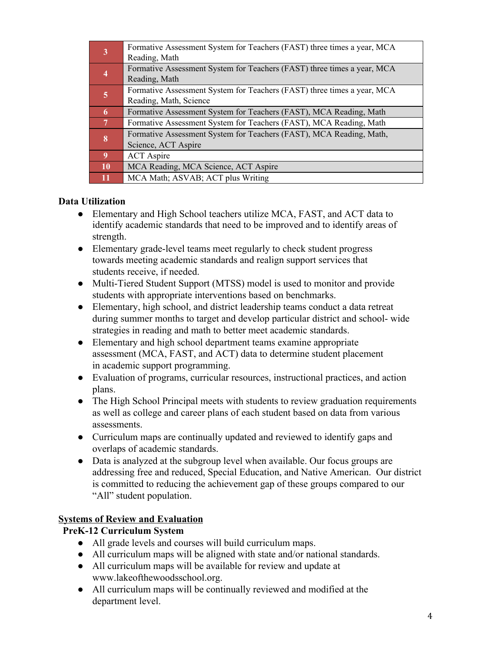| 3                        | Formative Assessment System for Teachers (FAST) three times a year, MCA |
|--------------------------|-------------------------------------------------------------------------|
|                          | Reading, Math                                                           |
| 4                        | Formative Assessment System for Teachers (FAST) three times a year, MCA |
|                          | Reading, Math                                                           |
| 5                        | Formative Assessment System for Teachers (FAST) three times a year, MCA |
|                          | Reading, Math, Science                                                  |
| 6                        | Formative Assessment System for Teachers (FAST), MCA Reading, Math      |
| $\overline{7}$           | Formative Assessment System for Teachers (FAST), MCA Reading, Math      |
| 8                        | Formative Assessment System for Teachers (FAST), MCA Reading, Math,     |
|                          | Science, ACT Aspire                                                     |
| $\left  0 \right\rangle$ | <b>ACT</b> Aspire                                                       |
| <b>10</b>                | MCA Reading, MCA Science, ACT Aspire                                    |
|                          | MCA Math; ASVAB; ACT plus Writing                                       |

### **Data Utilization**

- Elementary and High School teachers utilize MCA, FAST, and ACT data to identify academic standards that need to be improved and to identify areas of strength.
- Elementary grade-level teams meet regularly to check student progress towards meeting academic standards and realign support services that students receive, if needed.
- Multi-Tiered Student Support (MTSS) model is used to monitor and provide students with appropriate interventions based on benchmarks.
- Elementary, high school, and district leadership teams conduct a data retreat during summer months to target and develop particular district and school- wide strategies in reading and math to better meet academic standards.
- Elementary and high school department teams examine appropriate assessment (MCA, FAST, and ACT) data to determine student placement in academic support programming.
- Evaluation of programs, curricular resources, instructional practices, and action plans.
- The High School Principal meets with students to review graduation requirements as well as college and career plans of each student based on data from various assessments.
- Curriculum maps are continually updated and reviewed to identify gaps and overlaps of academic standards.
- Data is analyzed at the subgroup level when available. Our focus groups are addressing free and reduced, Special Education, and Native American. Our district is committed to reducing the achievement gap of these groups compared to our "All" student population.

# **Systems of Review and Evaluation**

# **PreK-12 Curriculum System**

- All grade levels and courses will build curriculum maps.
- All curriculum maps will be aligned with state and/or national standards.
- All curriculum maps will be available for review and update a[t](http://www.milaca.k12.mn.us/page/2874) www.lakeofthewoodsschool.org.
- All curriculum maps will be continually reviewed and modified at the department level.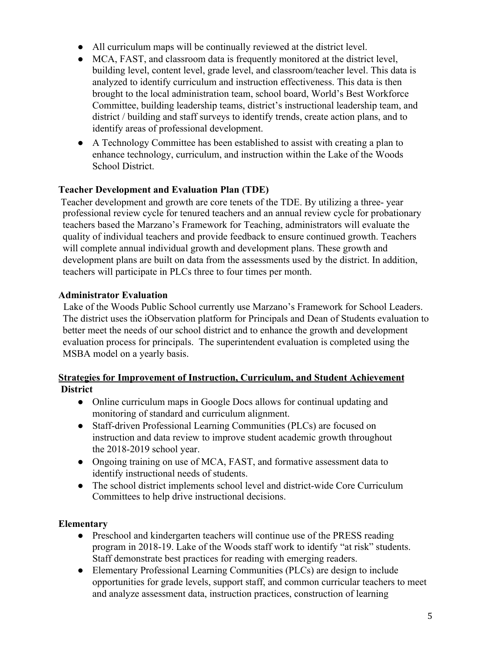- All curriculum maps will be continually reviewed at the district level.
- MCA, FAST, and classroom data is frequently monitored at the district level, building level, content level, grade level, and classroom/teacher level. This data is analyzed to identify curriculum and instruction effectiveness. This data is then brought to the local administration team, school board, World's Best Workforce Committee, building leadership teams, district's instructional leadership team, and district / building and staff surveys to identify trends, create action plans, and to identify areas of professional development.
- A Technology Committee has been established to assist with creating a plan to enhance technology, curriculum, and instruction within the Lake of the Woods School District.

### **Teacher Development and Evaluation Plan (TDE)**

 Teacher development and growth are core tenets of the TDE. By utilizing a three- year professional review cycle for tenured teachers and an annual review cycle for probationary teachers based the Marzano's Framework for Teaching, administrators will evaluate the quality of individual teachers and provide feedback to ensure continued growth. Teachers will complete annual individual growth and development plans. These growth and development plans are built on data from the assessments used by the district. In addition, teachers will participate in PLCs three to four times per month.

#### **Administrator Evaluation**

 Lake of the Woods Public School currently use Marzano's Framework for School Leaders. The district uses the iObservation platform for Principals and Dean of Students evaluation to better meet the needs of our school district and to enhance the growth and development evaluation process for principals. The superintendent evaluation is completed using the MSBA model on a yearly basis.

#### **Strategies for Improvement of Instruction, Curriculum, and Student Achievement District**

- Online curriculum maps in Google Docs allows for continual updating and monitoring of standard and curriculum alignment.
- Staff-driven Professional Learning Communities (PLCs) are focused on instruction and data review to improve student academic growth throughout the 2018-2019 school year.
- Ongoing training on use of MCA, FAST, and formative assessment data to identify instructional needs of students.
- The school district implements school level and district-wide Core Curriculum Committees to help drive instructional decisions.

#### **Elementary**

- Preschool and kindergarten teachers will continue use of the PRESS reading program in 2018-19. Lake of the Woods staff work to identify "at risk" students. Staff demonstrate best practices for reading with emerging readers.
- Elementary Professional Learning Communities (PLCs) are design to include opportunities for grade levels, support staff, and common curricular teachers to meet and analyze assessment data, instruction practices, construction of learning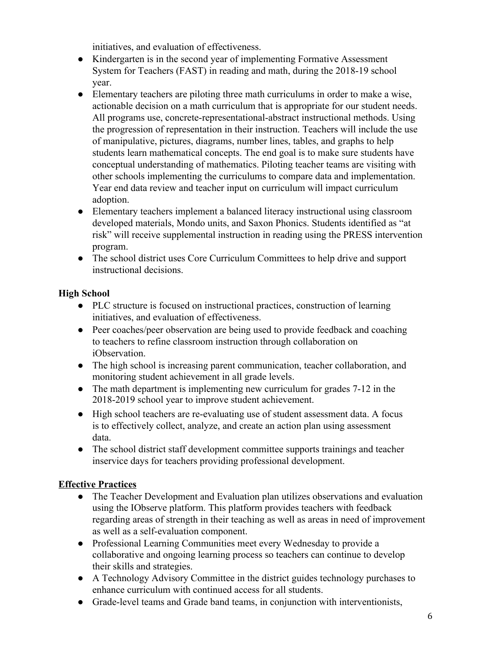initiatives, and evaluation of effectiveness.

- Kindergarten is in the second year of implementing Formative Assessment System for Teachers (FAST) in reading and math, during the 2018-19 school year.
- Elementary teachers are piloting three math curriculums in order to make a wise, actionable decision on a math curriculum that is appropriate for our student needs. All programs use, concrete-representational-abstract instructional methods. Using the progression of representation in their instruction. Teachers will include the use of manipulative, pictures, diagrams, number lines, tables, and graphs to help students learn mathematical concepts. The end goal is to make sure students have conceptual understanding of mathematics. Piloting teacher teams are visiting with other schools implementing the curriculums to compare data and implementation. Year end data review and teacher input on curriculum will impact curriculum adoption.
- Elementary teachers implement a balanced literacy instructional using classroom developed materials, Mondo units, and Saxon Phonics. Students identified as "at risk" will receive supplemental instruction in reading using the PRESS intervention program.
- The school district uses Core Curriculum Committees to help drive and support instructional decisions.

# **High School**

- PLC structure is focused on instructional practices, construction of learning initiatives, and evaluation of effectiveness.
- Peer coaches/peer observation are being used to provide feedback and coaching to teachers to refine classroom instruction through collaboration on iObservation.
- The high school is increasing parent communication, teacher collaboration, and monitoring student achievement in all grade levels.
- The math department is implementing new curriculum for grades 7-12 in the 2018-2019 school year to improve student achievement.
- High school teachers are re-evaluating use of student assessment data. A focus is to effectively collect, analyze, and create an action plan using assessment data.
- The school district staff development committee supports trainings and teacher inservice days for teachers providing professional development.

# **Effective Practices**

- The Teacher Development and Evaluation plan utilizes observations and evaluation using the IObserve platform. This platform provides teachers with feedback regarding areas of strength in their teaching as well as areas in need of improvement as well as a self-evaluation component.
- Professional Learning Communities meet every Wednesday to provide a collaborative and ongoing learning process so teachers can continue to develop their skills and strategies.
- A Technology Advisory Committee in the district guides technology purchases to enhance curriculum with continued access for all students.
- Grade-level teams and Grade band teams, in conjunction with interventionists,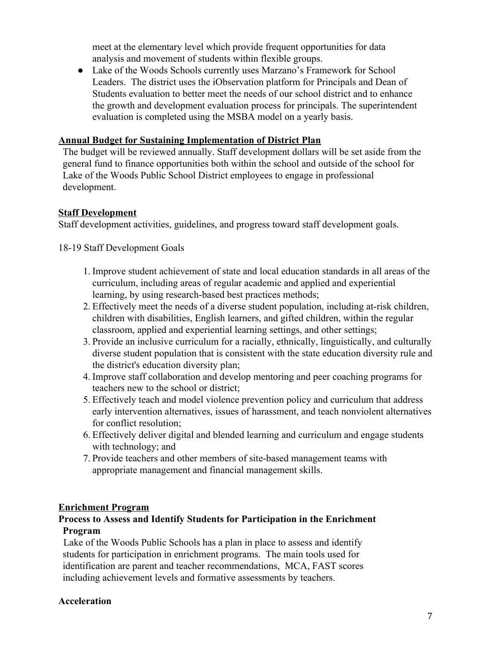meet at the elementary level which provide frequent opportunities for data analysis and movement of students within flexible groups.

• Lake of the Woods Schools currently uses Marzano's Framework for School Leaders. The district uses the iObservation platform for Principals and Dean of Students evaluation to better meet the needs of our school district and to enhance the growth and development evaluation process for principals. The superintendent evaluation is completed using the MSBA model on a yearly basis.

#### **Annual Budget for Sustaining Implementation of District Plan**

The budget will be reviewed annually. Staff development dollars will be set aside from the general fund to finance opportunities both within the school and outside of the school for Lake of the Woods Public School District employees to engage in professional development.

#### **Staff Development**

Staff development activities, guidelines, and progress toward staff development goals.

18-19 Staff Development Goals

- 1. Improve student achievement of state and local education standards in all areas of the curriculum, including areas of regular academic and applied and experiential learning, by using research-based best practices methods;
- 2. Effectively meet the needs of a diverse student population, including at-risk children, children with disabilities, English learners, and gifted children, within the regular classroom, applied and experiential learning settings, and other settings;
- 3. Provide an inclusive curriculum for a racially, ethnically, linguistically, and culturally diverse student population that is consistent with the state education diversity rule and the district's education diversity plan;
- 4. Improve staff collaboration and develop mentoring and peer coaching programs for teachers new to the school or district;
- 5. Effectively teach and model violence prevention policy and curriculum that address early intervention alternatives, issues of harassment, and teach nonviolent alternatives for conflict resolution;
- 6. Effectively deliver digital and blended learning and curriculum and engage students with technology; and
- 7. Provide teachers and other members of site-based management teams with appropriate management and financial management skills.

#### **Enrichment Program**

#### **Process to Assess and Identify Students for Participation in the Enrichment Program**

 Lake of the Woods Public Schools has a plan in place to assess and identify students for participation in enrichment programs. The main tools used for identification are parent and teacher recommendations, MCA, FAST scores including achievement levels and formative assessments by teachers.

#### **Acceleration**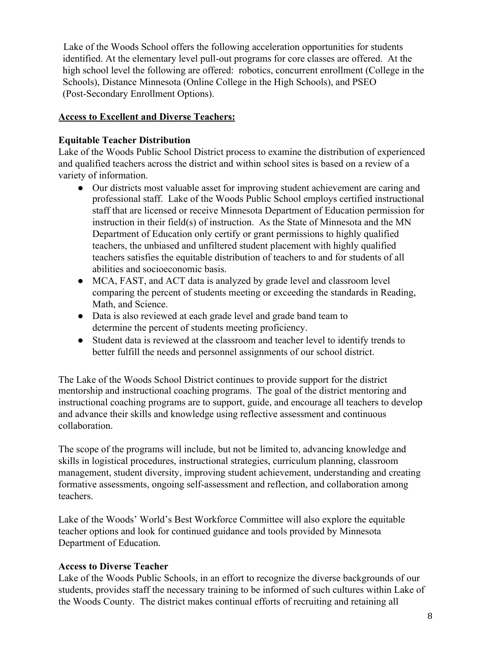Lake of the Woods School offers the following acceleration opportunities for students identified. At the elementary level pull-out programs for core classes are offered. At the high school level the following are offered: robotics, concurrent enrollment (College in the Schools), Distance Minnesota (Online College in the High Schools), and PSEO (Post-Secondary Enrollment Options).

#### **Access to Excellent and Diverse Teachers:**

### **Equitable Teacher Distribution**

Lake of the Woods Public School District process to examine the distribution of experienced and qualified teachers across the district and within school sites is based on a review of a variety of information.

- Our districts most valuable asset for improving student achievement are caring and professional staff. Lake of the Woods Public School employs certified instructional staff that are licensed or receive Minnesota Department of Education permission for instruction in their field(s) of instruction. As the State of Minnesota and the MN Department of Education only certify or grant permissions to highly qualified teachers, the unbiased and unfiltered student placement with highly qualified teachers satisfies the equitable distribution of teachers to and for students of all abilities and socioeconomic basis.
- MCA, FAST, and ACT data is analyzed by grade level and classroom level comparing the percent of students meeting or exceeding the standards in Reading, Math, and Science.
- Data is also reviewed at each grade level and grade band team to determine the percent of students meeting proficiency.
- Student data is reviewed at the classroom and teacher level to identify trends to better fulfill the needs and personnel assignments of our school district.

The Lake of the Woods School District continues to provide support for the district mentorship and instructional coaching programs. The goal of the district mentoring and instructional coaching programs are to support, guide, and encourage all teachers to develop and advance their skills and knowledge using reflective assessment and continuous collaboration.

The scope of the programs will include, but not be limited to, advancing knowledge and skills in logistical procedures, instructional strategies, curriculum planning, classroom management, student diversity, improving student achievement, understanding and creating formative assessments, ongoing self-assessment and reflection, and collaboration among teachers.

Lake of the Woods' World's Best Workforce Committee will also explore the equitable teacher options and look for continued guidance and tools provided by Minnesota Department of Education.

# **Access to Diverse Teacher**

Lake of the Woods Public Schools, in an effort to recognize the diverse backgrounds of our students, provides staff the necessary training to be informed of such cultures within Lake of the Woods County. The district makes continual efforts of recruiting and retaining all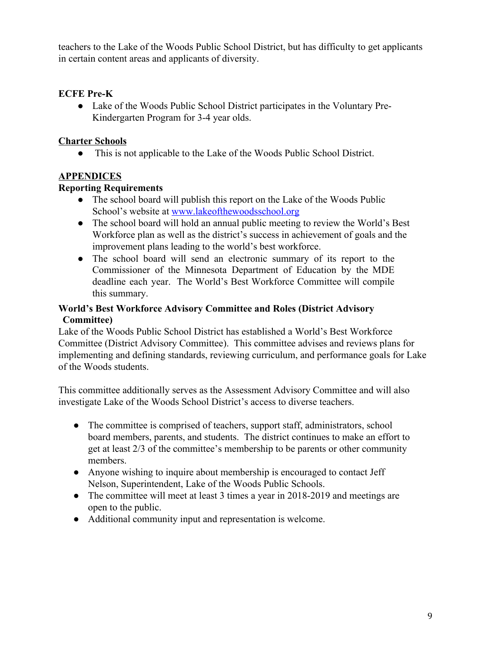teachers to the Lake of the Woods Public School District, but has difficulty to get applicants in certain content areas and applicants of diversity.

### **ECFE Pre-K**

• Lake of the Woods Public School District participates in the Voluntary Pre-Kindergarten Program for 3-4 year olds.

### **Charter Schools**

● This is not applicable to the Lake of the Woods Public School District.

# **APPENDICES**

### **Reporting Requirements**

- The school board will publish this report on the Lake of the Woods Public School's website at [www.lakeofthewoodsschool.org](http://www.milaca.k12.mn.us/)
- The school board will hold an annual public meeting to review the World's Best Workforce plan as well as the district's success in achievement of goals and the improvement plans leading to the world's best workforce.
- The school board will send an electronic summary of its report to the Commissioner of the Minnesota Department of Education by the MDE deadline each year. The World's Best Workforce Committee will compile this summary.

#### **World's Best Workforce Advisory Committee and Roles (District Advisory Committee)**

Lake of the Woods Public School District has established a World's Best Workforce Committee (District Advisory Committee). This committee advises and reviews plans for implementing and defining standards, reviewing curriculum, and performance goals for Lake of the Woods students.

This committee additionally serves as the Assessment Advisory Committee and will also investigate Lake of the Woods School District's access to diverse teachers.

- The committee is comprised of teachers, support staff, administrators, school board members, parents, and students. The district continues to make an effort to get at least 2/3 of the committee's membership to be parents or other community members.
- Anyone wishing to inquire about membership is encouraged to contact Jeff Nelson, Superintendent, Lake of the Woods Public Schools.
- The committee will meet at least 3 times a year in 2018-2019 and meetings are open to the public.
- Additional community input and representation is welcome.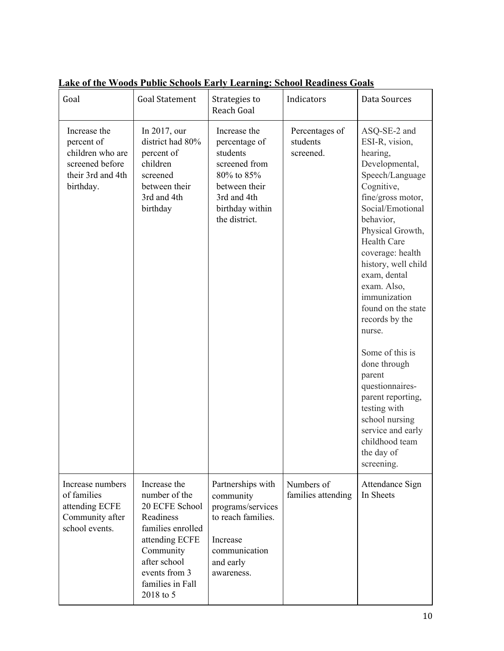| Goal                                                                                                | <b>Goal Statement</b>                                                                                                                                                              | Strategies to<br>Reach Goal                                                                                                                  | Indicators                              | Data Sources                                                                                                                                                                                                                                                                                                                                                                                                                                                                                                                        |
|-----------------------------------------------------------------------------------------------------|------------------------------------------------------------------------------------------------------------------------------------------------------------------------------------|----------------------------------------------------------------------------------------------------------------------------------------------|-----------------------------------------|-------------------------------------------------------------------------------------------------------------------------------------------------------------------------------------------------------------------------------------------------------------------------------------------------------------------------------------------------------------------------------------------------------------------------------------------------------------------------------------------------------------------------------------|
| Increase the<br>percent of<br>children who are<br>screened before<br>their 3rd and 4th<br>birthday. | In 2017, our<br>district had 80%<br>percent of<br>children<br>screened<br>between their<br>3rd and 4th<br>birthday                                                                 | Increase the<br>percentage of<br>students<br>screened from<br>80% to 85%<br>between their<br>3rd and 4th<br>birthday within<br>the district. | Percentages of<br>students<br>screened. | ASQ-SE-2 and<br>ESI-R, vision,<br>hearing,<br>Developmental,<br>Speech/Language<br>Cognitive,<br>fine/gross motor,<br>Social/Emotional<br>behavior,<br>Physical Growth,<br><b>Health Care</b><br>coverage: health<br>history, well child<br>exam, dental<br>exam. Also,<br>immunization<br>found on the state<br>records by the<br>nurse.<br>Some of this is<br>done through<br>parent<br>questionnaires-<br>parent reporting,<br>testing with<br>school nursing<br>service and early<br>childhood team<br>the day of<br>screening. |
| Increase numbers<br>of families<br>attending ECFE<br>Community after<br>school events.              | Increase the<br>number of the<br>20 ECFE School<br>Readiness<br>families enrolled<br>attending ECFE<br>Community<br>after school<br>events from 3<br>families in Fall<br>2018 to 5 | Partnerships with<br>community<br>programs/services<br>to reach families.<br>Increase<br>communication<br>and early<br>awareness.            | Numbers of<br>families attending        | Attendance Sign<br>In Sheets                                                                                                                                                                                                                                                                                                                                                                                                                                                                                                        |

**Lake of the Woods Public Schools Early Learning: School Readiness Goals**